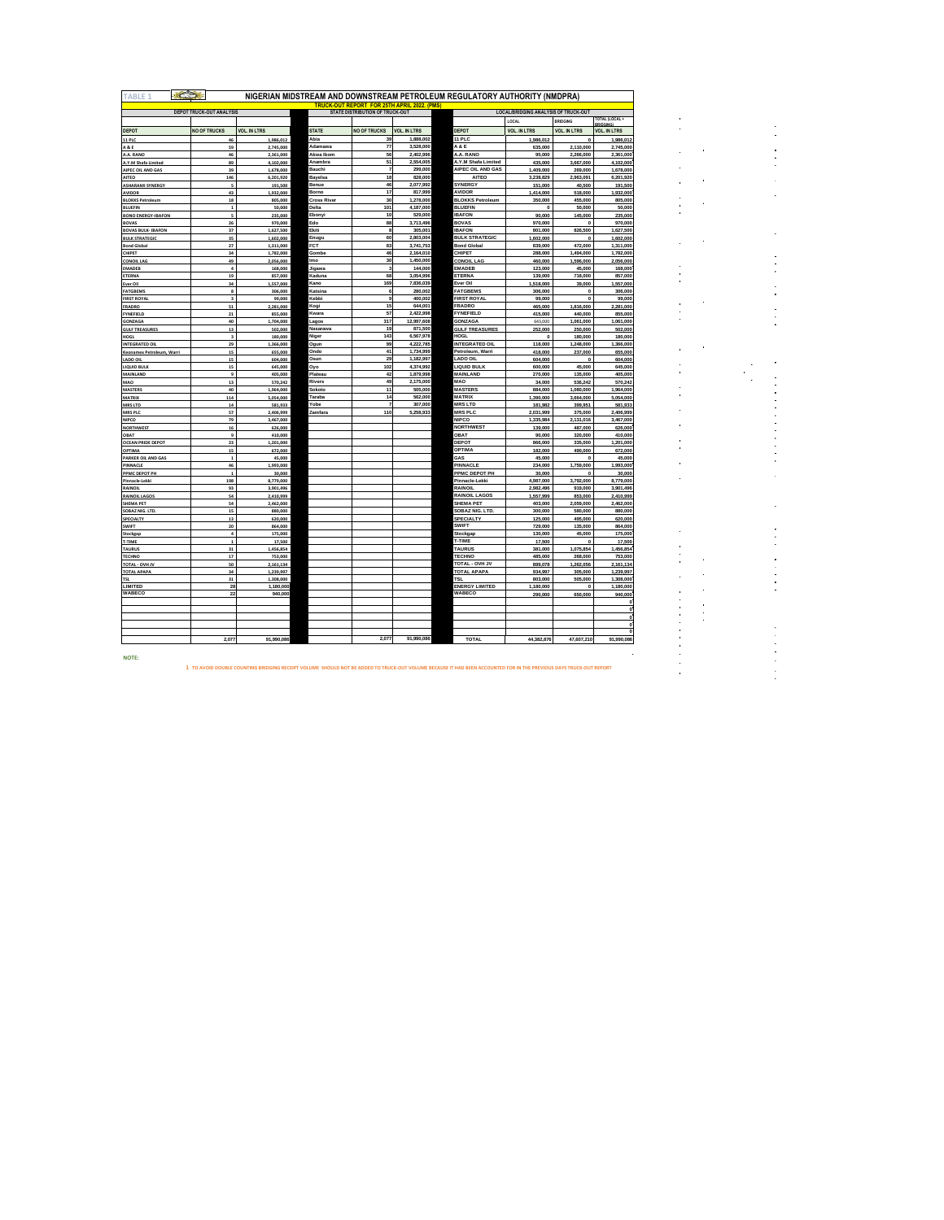| <b>TABLE 1</b>                                    |                                                                           |                     |                             |                     |                        | NIGERIAN MIDSTREAM AND DOWNSTREAM PETROLEUM REGULATORY AUTHORITY (NMDPRA) |                                                                                        |                         |                                |  |
|---------------------------------------------------|---------------------------------------------------------------------------|---------------------|-----------------------------|---------------------|------------------------|---------------------------------------------------------------------------|----------------------------------------------------------------------------------------|-------------------------|--------------------------------|--|
| <b>TRUCK-OUT REPORT FOR 25TH APRIL 2022. (PMS</b> |                                                                           |                     |                             |                     |                        |                                                                           |                                                                                        |                         |                                |  |
|                                                   | <b>DEPOT TRUCK-OUT ANALYSIS</b><br><b>STATE DISTRIBUTION OF TRUCK-OUT</b> |                     |                             |                     |                        |                                                                           | <b>LOCAL/BRIDGING ANALYSIS OF TRUCK-OUT</b><br>OTAL (LOCAL<br>LOCAL<br><b>BRIDGING</b> |                         |                                |  |
| DEPOT                                             | <b>NO OF TRUCKS</b>                                                       | <b>VOL. IN LTRS</b> | <b>STATE</b>                | <b>NO OF TRUCKS</b> | <b>VOL. IN LTRS</b>    | DEPOT                                                                     | <b>VOL. IN LTRS</b>                                                                    | <b>VOL. IN LTRS</b>     | RRIDGIL<br><b>VOL. IN LTRS</b> |  |
| <b>11 PLC</b>                                     | 46                                                                        | 1,986,012           | Abia                        | 39                  | 1,888,002              | 11 PLC                                                                    | 1,986,012                                                                              | $\circ$                 | 1,986,01                       |  |
| A & E                                             | 59                                                                        | 2,745,000           | Adamawa                     | $\overline{77}$     | 3.528.000              | A & E                                                                     | 635,000                                                                                | 2,110,000               | 2,745,000                      |  |
| A.A. RANO                                         | 46                                                                        | 2,361,000           | Akwa Ibom                   | 56                  | 2,402,996              | A.A. RANO                                                                 | 95,000                                                                                 | 2,266,000               | 2,361,000                      |  |
| A.Y.M Shafa Limited                               | 89                                                                        | 4,102,000           | Anambra                     | 51                  | 2,554,005              | A.Y.M Shafa Limited                                                       | 435,000                                                                                | 3,667,000               | 4,102,000                      |  |
| AIPEC OIL AND GAS                                 | 39                                                                        | 1,678,000           | Bauchi                      | 7                   | 299,000                | AIPEC OIL AND GAS                                                         | 1,409,000                                                                              | 269,000                 | 1,678,000                      |  |
| AITEO                                             | 146                                                                       | 6,201,920           | <b>Bavelsa</b>              | 18                  | 828,000                | <b>AITEO</b>                                                              | 3,238,829                                                                              | 2,963,091               | 6,201,920                      |  |
| <b>ASHARAMI SYNERGY</b>                           | 5                                                                         | 191,500             | Benue                       | 46                  | 2.077.992              | <b>SYNERGY</b>                                                            | 151,000                                                                                | 40,500                  | 191,500                        |  |
| <b>AVIDOR</b>                                     | 43                                                                        | 1,932,000           | Borno<br><b>Cross River</b> | 17<br>30            | 817,999<br>1,278,000   | <b>AVIDOR</b><br><b>RI OKKS Petroleum</b>                                 | 1,414,000                                                                              | 518,000                 | 1,932,000                      |  |
| <b>BLOKKS Petroleum</b><br><b>BLUEFIN</b>         | 18<br>$\mathbf 1$                                                         | 805,000<br>50,000   | Delta                       | 101                 | 4,187,000              | <b>BLUEFIN</b>                                                            | 350,000<br>$\mathbf 0$                                                                 | 455,000<br>50,000       | 805,000<br>50,000              |  |
| <b>BONO ENERGY-IBAFON</b>                         | 5                                                                         | 235,000             | Ebony                       | 10                  | 529,000                | <b>IBAFON</b>                                                             | 90,000                                                                                 | 145,000                 | 235,000                        |  |
| <b>BOVAS</b>                                      | 26                                                                        | 970,000             | Edo                         | 88                  | 3,713,496              | <b>BOVAS</b>                                                              | 970,000                                                                                | $^{\circ}$              | 970,000                        |  |
| <b>BOVAS BULK- IBAFON</b>                         | 37                                                                        | 1.627.500           | Ekiti                       | 8                   | 305,001                | <b>IBAFON</b>                                                             | 801,000                                                                                | 826,500                 | 1,627,500                      |  |
| <b>BULK STRATEGIC</b>                             | 35                                                                        | 1,602,000           | Enugu                       | 60                  | 2,803,004              | <b>BULK STRATEGIC</b>                                                     | 1,602,000                                                                              | $\Omega$                | 1,602,000                      |  |
| <b>Bond Global</b>                                | 27                                                                        | 1,311,000           | FCT                         | 83                  | 3,741,753              | <b>Bond Global</b>                                                        | 839,000                                                                                | 472,000                 | 1,311,000                      |  |
| <b>CHIPET</b>                                     | 34                                                                        | 1,782,000           | Gombe                       | 46                  | 2,164,010              | CHIPET                                                                    | 288,000                                                                                | 1,494,000               | 1,782,000                      |  |
| <b>CONOIL LAG</b>                                 | 49                                                                        | 2,056,000           | mo                          | 30                  | 1,450,000              | <b>CONOIL LAG</b>                                                         | 460,000                                                                                | 1,596,000               | 2,056,000                      |  |
| <b>EMADEB</b>                                     | ٠                                                                         | 168,000             | Jigawa                      | s                   | 144,000                | <b>EMADEB</b>                                                             | 123,000                                                                                | 45,000                  | 168,000                        |  |
| ETERNA                                            | 19<br>34                                                                  | 857,000             | Kaduna                      | 68<br>169           | 3.054.996<br>7.836.039 | ETERNA<br>Ever Oil                                                        | 139,000                                                                                | 718,000                 | 857,000<br>1,557,000           |  |
| Ever Oil                                          |                                                                           | 1,557,000           | Kano<br>Katsina             | 6                   | 280,002                | FATGREMS                                                                  | 1,518,000<br>306,000                                                                   | 39,000<br>£.            | 306,000                        |  |
| <b>FATGBEMS</b><br><b>FIRST ROYA</b>              |                                                                           | 306,000<br>99,000   | Cehhi                       | 9                   | 400,002                | <b>FIRST ROYAL</b>                                                        | 99,000                                                                                 | $\Omega$                | 99,000                         |  |
| FRADRO                                            | 51                                                                        | 2,281,000           | Kogi                        | 15                  | 644.001                | <b>FRADRO</b>                                                             | 465,000                                                                                | 1,816,000               | 2,281,000                      |  |
| <b>FYNEFIELD</b>                                  | 21                                                                        | 855,000             | Kwara                       | 57                  | 2,422,998              | <b>FYNFFIFI D</b>                                                         | 415,000                                                                                | 440,000                 | 855,000                        |  |
| <b>GONZAGA</b>                                    | 40                                                                        | 1,704,000           | agos                        | 317                 | 12,997.608             | GONZAGA                                                                   | 643,000                                                                                | 1,061,000               | 1,061,000                      |  |
| <b>GULF TREASURES</b>                             | 13                                                                        | 502,000             | Nasarawa                    | 19                  | 871,500                | <b>GULF TREASURES</b>                                                     | 252,000                                                                                | 250,000                 | 502,000                        |  |
| <b>HOGL</b>                                       | $\overline{\mathbf{3}}$                                                   | 180,000             | Niger                       | 143                 | 6,567,978              | HOGL                                                                      | $\mathbf 0$                                                                            | 180,000                 | 180,000                        |  |
| <b>INTEGRATED OIL</b>                             | 29                                                                        | 1,366,000           | Ogun                        | 99                  | 4,222,785              | <b>INTEGRATED OIL</b>                                                     | 118,000                                                                                | 1,248,000               | 1,366,000                      |  |
| Keonamex Petroleum, Warri                         | 15                                                                        | 655.000             | Ondo                        | 41                  | 1,734,999              | Petroleum, Warri                                                          | 418,000                                                                                | 237.000                 | 655,000                        |  |
| LADO OIL                                          | 15                                                                        | 604,000             | Osun                        | 29                  | 1.182.997              | LADO OIL                                                                  | 604.000                                                                                | $\circ$                 | 604,000                        |  |
| <b>LIQUID BULK</b>                                | 15<br>٩                                                                   | 645,000             | Oyo<br>Plateau              | 102<br>42           | 4,374,992<br>1,879,998 | <b>LIQUID BULK</b><br>MAINLAND                                            | 600.000<br>270,000                                                                     | 45,000<br>135,000       | 645.000<br>405.000             |  |
| MAINLAND<br>MAO                                   | 13                                                                        | 405,000<br>570.242  | Rivers                      | 49                  | 2,175,000              | MAO                                                                       | 34,000                                                                                 | 536.242                 | 570.242                        |  |
| <b>MASTERS</b>                                    | 40                                                                        | 1.964.000           | Sokoto                      | 11                  | 505,000                | <b>MASTERS</b>                                                            | 884,000                                                                                | 1.080.000               | 1.964.000                      |  |
| <b>MATRIX</b>                                     | 114                                                                       | 5,054,000           | araha                       | 14                  | 562,000                | MATRIX                                                                    | 1.390.000                                                                              | 3,664,000               | 5.054.000                      |  |
| <b>MRS LTD</b>                                    | 14                                                                        | 581,933             | <b>Cobe</b>                 | 7                   | 307,000                | <b>MRSLTD</b>                                                             | 181.982                                                                                | 399.951                 | 581.933                        |  |
| <b>MRS PLC</b>                                    | 57                                                                        | 2,406,999           | Zamfara                     | 110                 | 5,258,933              | <b>MRSPLC</b>                                                             | 2.031.999                                                                              | 375,000                 | 2,406,999                      |  |
| <b>NIPCO</b>                                      | 79                                                                        | 3,467,000           |                             |                     |                        | <b>NIPCO</b>                                                              | 1,335,984                                                                              | 2,131,016               | 3,467,000                      |  |
| <b>NORTHWEST</b>                                  | 16                                                                        | 626,000             |                             |                     |                        | <b>NORTHWEST</b>                                                          | 139,000                                                                                | 487,000                 | 626,000                        |  |
| OBAT                                              | 9                                                                         | 410,000             |                             |                     |                        | <b>OBAT</b>                                                               | 90,000                                                                                 | 320,000                 | 410,000                        |  |
| <b>OCEAN PRIDE DEPOT</b>                          | 23                                                                        | 1,201,000           |                             |                     |                        | DEPOT                                                                     | 866,000                                                                                | 335,000                 | 1,201,000                      |  |
| <b>OPTIMA</b>                                     | 15                                                                        | 672,000             |                             |                     |                        | OPTIMA                                                                    | 182,000                                                                                | 490,000<br>$\mathbf{0}$ | 672,000                        |  |
| <b>PARKER OIL AND GAS</b><br>PINNACLE             | $\mathbf 1$<br>46                                                         | 45,000<br>1,993,000 |                             |                     |                        | GAS<br>PINNACLE                                                           | 45,000<br>234,000                                                                      | 1,759,000               | 45,000<br>1,993,000            |  |
| PPMC DEPOT PH                                     | $\mathbf{1}$                                                              | 30,000              |                             |                     |                        | PPMC DEPOT PH                                                             | 30,000                                                                                 | $\theta$                | 30,000                         |  |
| Pinnacle-Lekki                                    | 198                                                                       | 8,779,000           |                             |                     |                        | Pinnacle-Lekki                                                            | 4.987.000                                                                              | 3,792,000               | 8,779,000                      |  |
| <b>RAINOIL</b>                                    | 93                                                                        | 3,901,496           |                             |                     |                        | RAINOIL                                                                   | 2.982.496                                                                              | 919,000                 | 3,901,496                      |  |
| <b>RAINOIL LAGOS</b>                              | 54                                                                        | 2,410,999           |                             |                     |                        | <b>RAINOIL LAGOS</b>                                                      | 1,557,999                                                                              | 853,000                 | 2,410,999                      |  |
| SHEMA PET                                         | 54                                                                        | 2.462.000           |                             |                     |                        | SHEMA PET                                                                 | 403,000                                                                                | 2,059,000               | 2,462,000                      |  |
| SOBAZ NIG. LTD.                                   | 15                                                                        | 880,000             |                             |                     |                        | SOBAZ NIG. LTD.                                                           | 300,000                                                                                | 580,000                 | 880,000                        |  |
| SPECIALTY                                         | 13                                                                        | 620,000             |                             |                     |                        | SPECIALTY                                                                 | 125,000                                                                                | 495,000                 | 620,000                        |  |
| <b>SWIFT</b>                                      | 20                                                                        | 864,000             |                             |                     |                        | SWIFT                                                                     | 729,000                                                                                | 135,000                 | 864,000                        |  |
| Stockgap                                          | $\ddot{\phantom{a}}$                                                      | 175,000             |                             |                     |                        | Stockgap                                                                  | 130,000                                                                                | 45,000                  | 175,000                        |  |
| <b>T-TIME</b>                                     | $\mathbf{1}$                                                              | 17,500              |                             |                     |                        | T-TIME                                                                    | 17,500                                                                                 | o                       | 17,500                         |  |
| <b>TAURUS</b><br><b>TECHNO</b>                    | 31<br>17                                                                  | ,456,854<br>753.000 |                             |                     |                        | <b>TAURUS</b><br><b>TECHNO</b>                                            | 381,000<br>485,000                                                                     | 1,075,854<br>268,000    | 1,456,854<br>753,000           |  |
| TOTAL - OVH JV                                    | 50                                                                        | 2.161.134           |                             |                     |                        | TOTAL - OVH JV                                                            | 899,078                                                                                | 1,262,056               | 2,161,134                      |  |
| <b>TOTAL APAPA</b>                                | 34                                                                        | 1.239.997           |                             |                     |                        | <b>TOTAL APAPA</b>                                                        | 934,997                                                                                | 305,000                 | 1,239,997                      |  |
| <b>TSL</b>                                        | 31                                                                        | 1.308.000           |                             |                     |                        | TSL                                                                       | 803,000                                                                                | 505,000                 | 1,308,000                      |  |
| LIMITED                                           | 28                                                                        | 1,180,000           |                             |                     |                        | <b>ENERGY LIMITED</b>                                                     | 1,180,000                                                                              | $\Omega$                | 1,180,000                      |  |
| WABECO                                            | 22                                                                        | 940,000             |                             |                     |                        | WABECO                                                                    | 290,000                                                                                | 650,000                 | 940,000                        |  |
|                                                   |                                                                           |                     |                             |                     |                        |                                                                           |                                                                                        |                         |                                |  |
|                                                   |                                                                           |                     |                             |                     |                        |                                                                           |                                                                                        |                         |                                |  |
|                                                   |                                                                           |                     |                             |                     |                        |                                                                           |                                                                                        |                         |                                |  |
|                                                   |                                                                           |                     |                             |                     |                        |                                                                           |                                                                                        |                         | $\mathbf{a}$                   |  |
|                                                   |                                                                           |                     |                             |                     |                        |                                                                           |                                                                                        |                         | $\sqrt{2}$                     |  |

 $\frac{1}{2}$  $\hat{\mathcal{A}}$ 

 $\frac{1}{2}$ 

 $\label{eq:2.1} \begin{split} \mathcal{L}_{\mathcal{A}}^{\mathcal{A}} & = \mathcal{L}_{\mathcal{A}}^{\mathcal{A}} \mathcal{L}_{\mathcal{A}}^{\mathcal{A}} + \mathcal{L}_{\mathcal{A}}^{\mathcal{A}} \mathcal{L}_{\mathcal{A}}^{\mathcal{A}} + \mathcal{L}_{\mathcal{A}}^{\mathcal{A}} \mathcal{L}_{\mathcal{A}}^{\mathcal{A}} \\ & = \mathcal{L}_{\mathcal{A}}^{\mathcal{A}} \mathcal{L}_{\mathcal{A}}^{\mathcal{A}} + \mathcal{L}_{\mathcal{A}}^{\mathcal{A}} \mathcal{L}_{\math$ 

医中间性 医单位性骨折 医单位 医血管下垂 医血管下垂 医血管

**1 TO AVOID DOUBLE COUNTING BRIDGING RECEIPT VOLUME SHOULD NOT BE ADDED TO TRUCK-OUT VOLUME BECAUSE IT HAD BEEN ACCOUNTED FOR IN THE PREVIOUS DAYS TRUCK-OUT REPORT**

**NOTE:**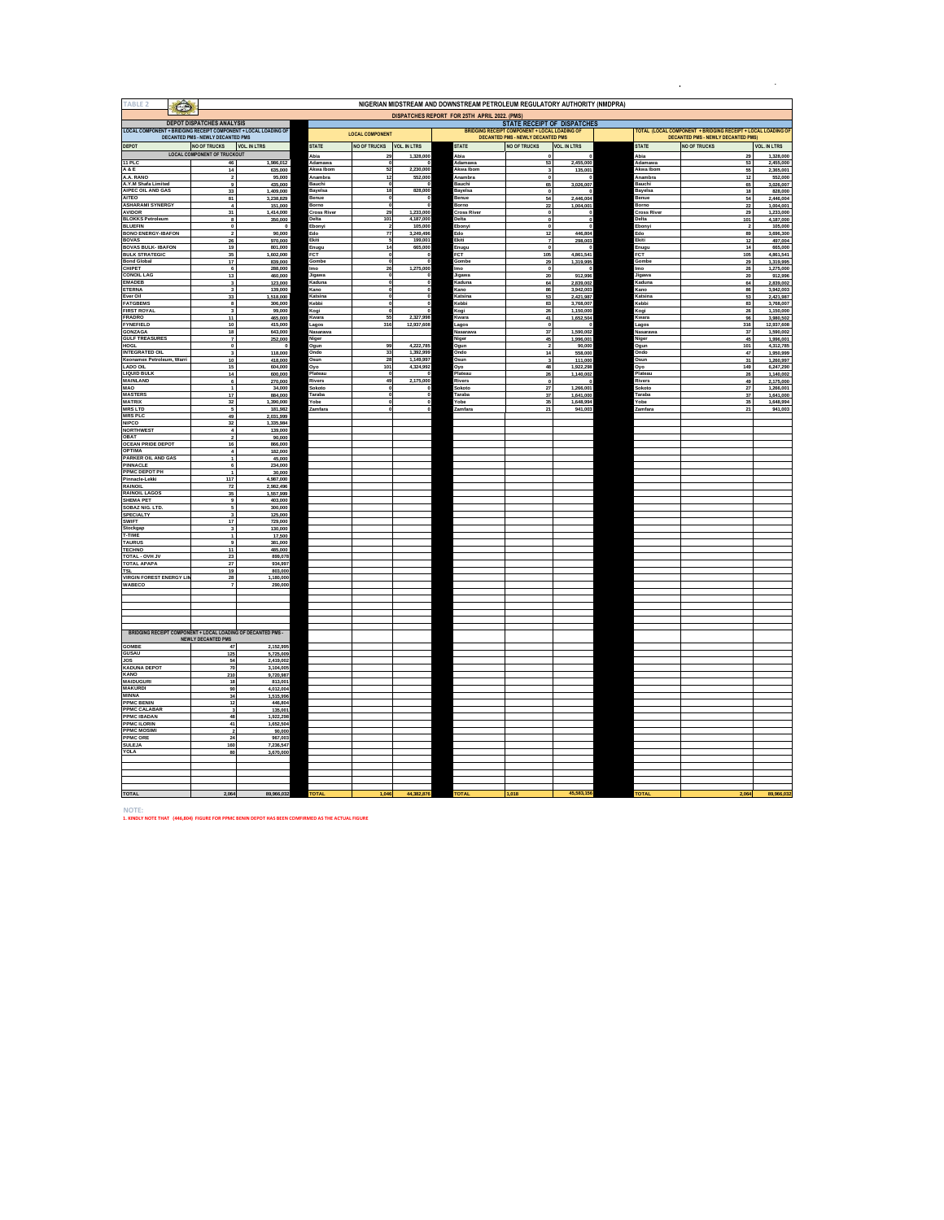| <b>TABLE 2</b><br>$\bigodot$                                    |                                                           |                         |                             |                                   |                         | NIGERIAN MIDSTREAM AND DOWNSTREAM PETROLEUM REGULATORY AUTHORITY (NMDPRA) |                                                      |                        |                             |                                                              |                         |  |  |
|-----------------------------------------------------------------|-----------------------------------------------------------|-------------------------|-----------------------------|-----------------------------------|-------------------------|---------------------------------------------------------------------------|------------------------------------------------------|------------------------|-----------------------------|--------------------------------------------------------------|-------------------------|--|--|
|                                                                 | <b>DEPOT DISPATCHES ANALYSIS</b>                          |                         |                             |                                   |                         | DISPATCHES REPORT FOR 25TH APRIL 2022. (PMS)                              | STATE RECEIPT OF DISPATCHES                          |                        |                             |                                                              |                         |  |  |
| LOCAL COMPONENT + BRIDGING RECEIPT COMPONENT + LOCAL LOADING OF |                                                           |                         |                             | <b>LOCAL COMPONENT</b>            |                         |                                                                           | <b>BRIDGING RECEIPT COMPONENT + LOCAL LOADING OF</b> |                        |                             | FOTAL (LOCAL COMPONENT + BRIDGING RECEIPT + LOCAL LOADING OF |                         |  |  |
|                                                                 | DECANTED PMS - NEWLY DECANTED PMS                         |                         |                             |                                   |                         |                                                                           | <b>DECANTED PMS - NEWLY DECANTED PMS</b>             |                        |                             | <b>DECANTED PMS - NEWLY DECANTED PMS)</b>                    |                         |  |  |
| <b>DEPOT</b>                                                    | <b>NO OF TRUCKS</b><br><b>LOCAL COMPONENT OF TRUCKOUT</b> | <b>VOL. IN LTRS</b>     | <b>STATE</b>                | NO OF TRUCKS VOL. IN LTRS         |                         | <b>STATE</b>                                                              | <b>NO OF TRUCKS</b>                                  | <b>VOL. IN LTRS</b>    | <b>STATE</b>                | <b>NO OF TRUCKS</b>                                          | <b>VOL. IN LTRS</b>     |  |  |
| 11 PLC                                                          | 46                                                        | 1,986,012               | Abia<br>Adamawa             | 29<br>o                           | 1,328,000               | Abia<br>kdamawa                                                           | 53                                                   | 2,455,000              | Abia<br>Adamawa             | 29<br>53                                                     | 1.328,000<br>2,455,000  |  |  |
| A&E                                                             | 14                                                        | 635,000                 | Akwa Ibor                   | 52                                | 2,230,000               | Akwa Ibon                                                                 | 3                                                    | 135,001                | Akwa Ibon                   | 55                                                           | 2,365,001               |  |  |
| A.A. RANO<br>A V M Shafa Limited                                | $\mathbf{2}$                                              | 95,000                  | Anambra<br>Bauchi           | $12$<br>э.                        | 552,000                 | Anambra<br>Rauchi                                                         | $\pmb{0}$<br>65                                      |                        | Anambra<br>Bauchi           | $12$<br>65                                                   | 552,000                 |  |  |
| AIPEC OIL AND GAS                                               | 33                                                        | 435,000<br>1,409,000    | Bayelsa                     | 18                                | 828,000                 | Bayelsa                                                                   | $\pmb{0}$                                            | 3,026,007              | Bayelsa                     | 18                                                           | 3,026,007<br>828,000    |  |  |
| <b>AITEO</b>                                                    | 81                                                        | 3,238,829               | Benue                       | $\mathbf{0}$                      |                         | Benue                                                                     | 54                                                   | 2,446,004              | Benue                       | 54                                                           | 2,446,004               |  |  |
| <b>ASHARAMI SYNERGY</b><br><b>AVIDOR</b>                        | $\Delta$<br>31                                            | 151,000<br>1.414.000    | Borno<br><b>Cross River</b> | $\mathbf{o}$<br>29                | 1,233,000               | <b>Borno</b><br><b>Cross River</b>                                        | 22<br>$\mathbf{0}$                                   | 1,004,001              | Borno<br><b>Cross River</b> | $\boldsymbol{\eta}$<br>29                                    | 1.004.001<br>1,233,000  |  |  |
| <b>BLOKKS Petroleum</b>                                         | 8                                                         | 350,000                 | Delta                       | 101                               | 4,187,000               | Delta                                                                     | $\pmb{0}$                                            | $^{\circ}$             | Delta                       | 101                                                          | 4,187,000               |  |  |
| <b>BLUEFIN</b>                                                  | $\mathbf 0$                                               | $\overline{\mathbf{0}}$ | Ebonyi                      | $\overline{\mathbf{2}}$           | 105,000                 | Ebonyi                                                                    | $\circ$                                              |                        | Ebonyi                      | $\overline{2}$                                               | 105,000                 |  |  |
| <b>BONO ENERGY-IBAFON</b><br><b>BOVAS</b>                       | -2<br>26                                                  | 90,000<br>970,000       | Edo<br>Ekiti                | $\overline{\bf 77}$<br>5          | 3,249,496<br>199,001    | Edo<br>Ekiti                                                              | 12<br>$\overline{7}$                                 | 446,804<br>298,003     | Edo<br>Ekiti                | 89<br>12                                                     | 3,696,300<br>497,004    |  |  |
| <b>BOVAS BULK- IBAFON</b>                                       | 19                                                        | 801,000                 | Enugu                       | 14                                | 665,000                 | Enugu                                                                     |                                                      |                        | Enugu                       | 14                                                           | 665,000                 |  |  |
| <b>BULK STRATEGIC</b>                                           | 35                                                        | 1,602,000               | <b>FCT</b>                  | $\bullet$                         |                         | FCT                                                                       | 105                                                  | 4,861,541              | FCT                         | 105                                                          | 4,861,541               |  |  |
| <b>Bond Global</b><br>CHIPET                                    | 17<br>6                                                   | 839,000                 | Gombe<br><b>Imo</b>         | $\Omega$<br>26                    | 1,275,000               | Gombe<br><b>Imo</b>                                                       | 29<br>$\pmb{0}$                                      | 1,319,995              | Gombe<br><b>Imo</b>         | 29                                                           | 1,319,995               |  |  |
| <b>CONOIL LAG</b>                                               | 13                                                        | 288,000<br>460,000      | Jigawa                      | $\mathbf{o}$                      |                         | Jigawa                                                                    | 20                                                   | 912,996                | Jigawa                      | 26<br>20                                                     | 1,275,000<br>912,996    |  |  |
| <b>EMADEB</b>                                                   |                                                           | 123,000                 | Kaduna                      | $\bf o$                           |                         | Kaduna                                                                    | 64                                                   | 2.839.002              | Kaduna                      | 64                                                           | 2,839,002               |  |  |
| <b>ETERNA</b><br>Ever Oil                                       | 3<br>33                                                   | 139,000<br>1,518,000    | Kano<br>Katsina             | $\pmb{\mathfrak{o}}$<br>$\pmb{0}$ |                         | Kano<br>Katsina                                                           | 86<br>53                                             | 3,942,003<br>2,421,987 | Kano<br>Katsina             | 86<br>53                                                     | 3,942,003<br>2,421,987  |  |  |
| <b>FATGBEMS</b>                                                 | $\overline{\mathbf{8}}$                                   | 306,000                 | Kebbi                       | $\overline{\mathbf{0}}$           |                         | <b>Cebbi</b>                                                              | 83                                                   | 3,768,007              | Kebbi                       | 83                                                           | 3,768,007               |  |  |
| <b>FIRST ROYAL</b>                                              | $\mathbf{a}$                                              | 99,000                  | <b>Sogi</b>                 | э.                                |                         | (ogi                                                                      | 26                                                   | 1,150,000              | Kogi                        | 26                                                           | 1,150,000               |  |  |
| <b>FRADRO</b><br><b>EYNEFIELD</b>                               | 11<br>$10$                                                | 465,000<br>415,000      | Kwara<br>agos               | 55<br>316                         | 2,327,998<br>12,937,608 | (wara<br>agos                                                             | 41<br>$\mathbf 0$                                    | 1,652,504              | Kwara<br>Lagos              | 96<br>316                                                    | 3,980,502<br>12,937,608 |  |  |
| <b>GONZAGA<br/>GULF TREASURES</b>                               | 18                                                        | 643,000                 | Nasarawa                    |                                   |                         | Nasarawa                                                                  | 37                                                   | 1.590.002              | Nasarawa                    | 37                                                           | 1,590,002               |  |  |
|                                                                 | $\overline{7}$                                            | 252,000                 | Niger                       |                                   |                         | liger                                                                     | 45                                                   | 1,996,001              | Niger                       | 45                                                           | 1,996,001               |  |  |
| <b>HOGL</b><br><b>INTEGRATED OIL</b>                            | $\mathbf{0}$<br>$\mathbf{3}$                              | $\Omega$<br>118,000     | Oaun<br>Ondo                | 99<br>33                          | 4.222.785<br>1,392,999  | Ogun<br>Ondo                                                              | $\overline{2}$<br>14                                 | 90,000<br>558,000      | Ogun<br>Ondo                | 101<br>47                                                    | 4.312.785<br>1,950,999  |  |  |
| Keonamex Petroleum, Warri                                       | 10                                                        | 418,000                 | Osun                        | 28                                | 1,149,997               | Dsun                                                                      | $\overline{\mathbf{3}}$                              | 111,000                | Osun                        | 31                                                           | 1,260,997               |  |  |
| <b>LADO OIL</b>                                                 | 15                                                        | 604,000                 | Oyo                         | 101                               | 4,324,992               | Oyo                                                                       | 48                                                   | 1,922,298              | Oyo                         | 149                                                          | 6,247,290               |  |  |
| <b>LIQUID BULK</b><br><b>MAINLAND</b>                           | 14<br>$\epsilon$                                          | 600,000<br>270,000      | Platear<br>Rivers           | $\Omega$<br>49                    | 2,175,000               | latear<br>livers                                                          | 26<br>$\mathbf 0$                                    | 1,140,002              | Platea<br>Rivers            | 26<br>49                                                     | 1,140,002<br>2,175,000  |  |  |
| MAO                                                             | $\mathbf{1}$                                              | 34,000                  | Sokoto                      | ō                                 |                         | okoto                                                                     | 27                                                   | 1,266,001              | Sokoto                      | 27                                                           | 1,266,001               |  |  |
| MASTERS<br>MATRIX                                               | 17                                                        | 884,000                 | Taraha                      | $\Omega$                          |                         | Taraha                                                                    | 37                                                   | 1.641.000              | Taraha                      | 37                                                           | 1.641.000               |  |  |
|                                                                 | 32<br>-5                                                  | 1,390,000<br>181,982    | Yobe<br>Zamfara             | $\mathbf{0}$<br>$\mathbf{0}$      |                         | <b>Cobe</b><br>Zamfara                                                    | 35<br>21                                             | 1,648,994<br>941,003   | Yobe<br>Zamfara             | 35<br>$\overline{21}$                                        | 1,648,994<br>941,003    |  |  |
| <b>MRS LTD</b><br>MRS PLC                                       | 49                                                        | 2.031.999               |                             |                                   |                         |                                                                           |                                                      |                        |                             |                                                              |                         |  |  |
| <b>NIPCO</b>                                                    | 32                                                        | 1,335,984               |                             |                                   |                         |                                                                           |                                                      |                        |                             |                                                              |                         |  |  |
| <b>NORTHWEST</b>                                                | $\boldsymbol{4}$<br>$\mathbf 2$                           | 139,000                 |                             |                                   |                         |                                                                           |                                                      |                        |                             |                                                              |                         |  |  |
| OBAT<br><b>OCEAN PRIDE DEPOT</b>                                | 16                                                        | 90,000<br>866,000       |                             |                                   |                         |                                                                           |                                                      |                        |                             |                                                              |                         |  |  |
| <b>OPTIMA</b>                                                   | $\lambda$                                                 | 182,000                 |                             |                                   |                         |                                                                           |                                                      |                        |                             |                                                              |                         |  |  |
| <b>PARKER OIL AND GAS</b><br>PINNACLE                           | $\mathbf{1}$<br>6                                         | 45,000<br>234,000       |                             |                                   |                         |                                                                           |                                                      |                        |                             |                                                              |                         |  |  |
| PPMC DEPOT PH                                                   | $\mathbf{1}$                                              | 30,000                  |                             |                                   |                         |                                                                           |                                                      |                        |                             |                                                              |                         |  |  |
| Pinnacle-Lekki                                                  | 117                                                       | 4,987,000               |                             |                                   |                         |                                                                           |                                                      |                        |                             |                                                              |                         |  |  |
| <b>RAINOIL</b>                                                  | 72                                                        | 2.982.496               |                             |                                   |                         |                                                                           |                                                      |                        |                             |                                                              |                         |  |  |
| <b>RAINOIL LAGOS</b><br><b>SHEMA PET</b>                        | 35                                                        | 1,557,999<br>403,000    |                             |                                   |                         |                                                                           |                                                      |                        |                             |                                                              |                         |  |  |
| SOBAZ NIG. LTD.                                                 |                                                           | 300,000                 |                             |                                   |                         |                                                                           |                                                      |                        |                             |                                                              |                         |  |  |
| <b>SPECIALTY</b><br><b>SWIFT</b>                                | $\mathbf{a}$<br>17                                        | 125,000                 |                             |                                   |                         |                                                                           |                                                      |                        |                             |                                                              |                         |  |  |
| Stockgap                                                        | $\mathbf{3}$                                              | 729,000<br>130,000      |                             |                                   |                         |                                                                           |                                                      |                        |                             |                                                              |                         |  |  |
| <b>T-TIME</b>                                                   | $\overline{1}$                                            | 17,500                  |                             |                                   |                         |                                                                           |                                                      |                        |                             |                                                              |                         |  |  |
| <b>TAURUS</b>                                                   | 9                                                         | 381,000                 |                             |                                   |                         |                                                                           |                                                      |                        |                             |                                                              |                         |  |  |
| <b>TECHNO</b><br>TOTAL - OVH JV                                 | 11<br>${\bf 23}$                                          | 485,000<br>899,078      |                             |                                   |                         |                                                                           |                                                      |                        |                             |                                                              |                         |  |  |
| <b>TOTAL APAPA</b>                                              | $27\,$                                                    | 934,997                 |                             |                                   |                         |                                                                           |                                                      |                        |                             |                                                              |                         |  |  |
| <b>TSL</b>                                                      | 19                                                        | 803,000                 |                             |                                   |                         |                                                                           |                                                      |                        |                             |                                                              |                         |  |  |
| <b>VIRGIN FOREST ENERGY LIP</b><br>WABECO                       | 28                                                        | 1,180,000<br>290,000    |                             |                                   |                         |                                                                           |                                                      |                        |                             |                                                              |                         |  |  |
|                                                                 |                                                           |                         |                             |                                   |                         |                                                                           |                                                      |                        |                             |                                                              |                         |  |  |
|                                                                 |                                                           |                         |                             |                                   |                         |                                                                           |                                                      |                        |                             |                                                              |                         |  |  |
|                                                                 |                                                           |                         |                             |                                   |                         |                                                                           |                                                      |                        |                             |                                                              |                         |  |  |
|                                                                 |                                                           |                         |                             |                                   |                         |                                                                           |                                                      |                        |                             |                                                              |                         |  |  |
| BRIDGING RECEIPT COMPONENT + LOCAL LOADING OF DECANTED PMS -    |                                                           |                         |                             |                                   |                         |                                                                           |                                                      |                        |                             |                                                              |                         |  |  |
|                                                                 | NEWLY DECANTED PMS                                        |                         |                             |                                   |                         |                                                                           |                                                      |                        |                             |                                                              |                         |  |  |
| <b>GOMBE</b>                                                    | 47                                                        | 2,152,995               |                             |                                   |                         |                                                                           |                                                      |                        |                             |                                                              |                         |  |  |
| GUSAU<br><b>JOS</b>                                             | 125<br>54                                                 | 5,725,009<br>2,419,002  |                             |                                   |                         |                                                                           |                                                      |                        |                             |                                                              |                         |  |  |
| <b>KADUNA DEPOT</b>                                             | 70                                                        | 3,104,005               |                             |                                   |                         |                                                                           |                                                      |                        |                             |                                                              |                         |  |  |
| KANO                                                            | 210                                                       | 9,720,987               |                             |                                   |                         |                                                                           |                                                      |                        |                             |                                                              |                         |  |  |
| MAIDUGURI<br>MAKURDI                                            | 18<br>90                                                  | 813,001<br>4,012,004    |                             |                                   |                         |                                                                           |                                                      |                        |                             |                                                              |                         |  |  |
| <b>MINNA</b>                                                    | 34                                                        | 1,515,996               |                             |                                   |                         |                                                                           |                                                      |                        |                             |                                                              |                         |  |  |
| <b>PPMC BENIN</b>                                               | 12                                                        | 446,804                 |                             |                                   |                         |                                                                           |                                                      |                        |                             |                                                              |                         |  |  |
| <b>PPMC CALABAR</b><br><b>PPMC IBADAN</b>                       |                                                           | 135,001                 |                             |                                   |                         |                                                                           |                                                      |                        |                             |                                                              |                         |  |  |
| <b>PPMC ILORIN</b>                                              | 48<br>41                                                  | 1,922,298<br>1,652,504  |                             |                                   |                         |                                                                           |                                                      |                        |                             |                                                              |                         |  |  |
| <b>PPMC MOSIMI</b>                                              |                                                           | 90,000                  |                             |                                   |                         |                                                                           |                                                      |                        |                             |                                                              |                         |  |  |
| PPMC ORE<br><b>SULEJA</b>                                       | 24<br>160                                                 | 967,003<br>7.236.547    |                             |                                   |                         |                                                                           |                                                      |                        |                             |                                                              |                         |  |  |
| YOLA                                                            | 80                                                        | 3,670,000               |                             |                                   |                         |                                                                           |                                                      |                        |                             |                                                              |                         |  |  |
|                                                                 |                                                           |                         |                             |                                   |                         |                                                                           |                                                      |                        |                             |                                                              |                         |  |  |
|                                                                 |                                                           |                         |                             |                                   |                         |                                                                           |                                                      |                        |                             |                                                              |                         |  |  |
|                                                                 |                                                           |                         |                             |                                   |                         |                                                                           |                                                      |                        |                             |                                                              |                         |  |  |
|                                                                 |                                                           |                         |                             |                                   |                         |                                                                           |                                                      |                        |                             |                                                              |                         |  |  |
| <b>TOTAL</b>                                                    | 2.064                                                     | 89,966,032              |                             |                                   | 44.382.87               |                                                                           |                                                      | 45.583.156             |                             |                                                              | 89.96                   |  |  |

**NOTE: 1. KINDLY NOTE THAT (446,804) FIGURE FOR PPMC BENIN DEPOT HAS BEEN COMFIRMED AS THE ACTUAL FIGURE**